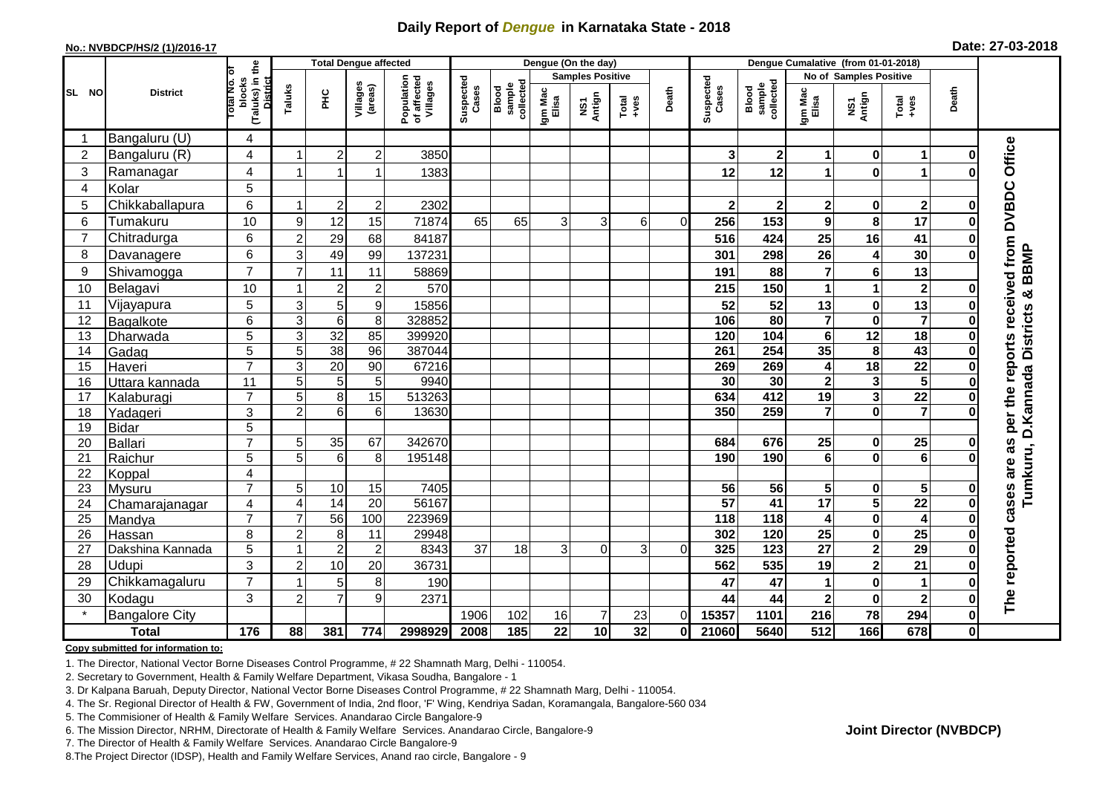## **Daily Report of** *Dengue* **in Karnataka State - 2018**

#### **No.: NVBDCP/HS/2 (1)/2016-17**

|  |  | Date: 27-03-2018 |
|--|--|------------------|
|--|--|------------------|

|                |                                  |                                                           |                     |                     | <b>Total Dengue affected</b> |                                       |                         |                              |                  | Dengue (On the day) |                                                              |              |                      |                              |                                    |                             |                                                                                                                                                                                                                                                                                                                                                                                                             |              |                                                                            |
|----------------|----------------------------------|-----------------------------------------------------------|---------------------|---------------------|------------------------------|---------------------------------------|-------------------------|------------------------------|------------------|---------------------|--------------------------------------------------------------|--------------|----------------------|------------------------------|------------------------------------|-----------------------------|-------------------------------------------------------------------------------------------------------------------------------------------------------------------------------------------------------------------------------------------------------------------------------------------------------------------------------------------------------------------------------------------------------------|--------------|----------------------------------------------------------------------------|
|                | īб                               |                                                           |                     |                     |                              |                                       | <b>Samples Positive</b> |                              |                  |                     |                                                              |              |                      |                              | No of Samples Positive             |                             |                                                                                                                                                                                                                                                                                                                                                                                                             |              |                                                                            |
| SL NO          | <b>District</b>                  | (Taluks) in the<br>blocks<br>Total No.<br><b>District</b> | Taluks              | 욷                   | Villages<br>(areas)          | Population<br>of affected<br>Villages | Suspected<br>Cases      | collected<br>sample<br>Blood | Igm Mac<br>Elisa | NS1<br>Antign       | $\begin{array}{c}\n\text{Total} \\ \text{Area}\n\end{array}$ | Death        | Suspected<br>Cases   | sample<br>collected<br>Blood | Igm Mac<br>Elisa                   | NS1<br>Antign               | $\begin{array}{c}\n\text{Total} \\ \text{1-4} \\ \text{1-4} \\ \text{1-4} \\ \text{1-4} \\ \text{1-4} \\ \text{1-4} \\ \text{1-4} \\ \text{1-4} \\ \text{1-4} \\ \text{1-4} \\ \text{1-4} \\ \text{1-4} \\ \text{1-4} \\ \text{1-4} \\ \text{1-4} \\ \text{1-4} \\ \text{1-4} \\ \text{1-4} \\ \text{1-4} \\ \text{1-4} \\ \text{1-4} \\ \text{1-4} \\ \text{1-4} \\ \text{1-4} \\ \text{1-4} \\ \text{1-4$ | Death        |                                                                            |
|                | Bangaluru (U)                    | 4                                                         |                     |                     |                              |                                       |                         |                              |                  |                     |                                                              |              |                      |                              |                                    |                             |                                                                                                                                                                                                                                                                                                                                                                                                             |              |                                                                            |
| $\overline{2}$ | Bangaluru (R)                    | 4                                                         |                     | $\overline{2}$      | $\overline{2}$               | 3850                                  |                         |                              |                  |                     |                                                              |              | 3                    | $\mathbf{2}$                 | 1                                  | $\bf{0}$                    | 1                                                                                                                                                                                                                                                                                                                                                                                                           |              |                                                                            |
| 3              | Ramanagar                        | 4                                                         |                     | 1                   |                              | 1383                                  |                         |                              |                  |                     |                                                              |              | 12                   | 12                           | 1                                  | $\bf{0}$                    | 1                                                                                                                                                                                                                                                                                                                                                                                                           |              | Office                                                                     |
| $\overline{4}$ | Kolar                            | 5                                                         |                     |                     |                              |                                       |                         |                              |                  |                     |                                                              |              |                      |                              |                                    |                             |                                                                                                                                                                                                                                                                                                                                                                                                             |              |                                                                            |
| 5              | Chikkaballapura                  | 6                                                         |                     | $\sqrt{2}$          | $\overline{c}$               | 2302                                  |                         |                              |                  |                     |                                                              |              | $\mathbf 2$          | $\mathbf 2$                  | $\overline{2}$                     | $\bf{0}$                    | $\mathbf{2}$                                                                                                                                                                                                                                                                                                                                                                                                |              |                                                                            |
| 6              | Tumakuru                         | 10                                                        | 9                   | 12                  | 15                           | 71874                                 | 65                      | 65                           | 3                | 3                   | 6                                                            | $\Omega$     | 256                  | 153                          | $\mathbf{9}$                       | 8                           | 17                                                                                                                                                                                                                                                                                                                                                                                                          |              |                                                                            |
| $\overline{7}$ | Chitradurga                      | 6                                                         | $\overline{2}$      | 29                  | 68                           | 84187                                 |                         |                              |                  |                     |                                                              |              | 516                  | 424                          | 25                                 | 16                          | 41                                                                                                                                                                                                                                                                                                                                                                                                          |              |                                                                            |
| 8              | Davanagere                       | 6                                                         | 3                   | 49                  | 99                           | 137231                                |                         |                              |                  |                     |                                                              |              | 301                  | 298                          | 26                                 | 4                           | 30                                                                                                                                                                                                                                                                                                                                                                                                          |              |                                                                            |
| 9              | Shivamogga                       | $\overline{7}$                                            | 7                   | 11                  | 11                           | 58869                                 |                         |                              |                  |                     |                                                              |              | 191                  | 88                           | $\overline{\mathbf{r}}$            | $6\phantom{1}6$             | 13                                                                                                                                                                                                                                                                                                                                                                                                          |              | per the reports received from DVBDC<br>Tumkuru, D.Kannada Districts & BBMP |
| 10             | Belagavi                         | 10                                                        |                     | $\overline{2}$      | $\overline{c}$               | 570                                   |                         |                              |                  |                     |                                                              |              | 215                  | 150                          | 1                                  | 1                           | $\overline{2}$                                                                                                                                                                                                                                                                                                                                                                                              |              |                                                                            |
| 11             | Vijayapura                       | 5                                                         | 3                   | $\sqrt{5}$          | $\boldsymbol{9}$             | 15856                                 |                         |                              |                  |                     |                                                              |              | 52                   | 52                           | 13                                 | 0                           | 13                                                                                                                                                                                                                                                                                                                                                                                                          |              |                                                                            |
| 12             | Bagalkote                        | 6                                                         | 3                   | 6                   | 8                            | 328852                                |                         |                              |                  |                     |                                                              |              | 106                  | $\overline{80}$              | $\overline{7}$                     | $\bf{0}$                    | $\overline{7}$                                                                                                                                                                                                                                                                                                                                                                                              |              |                                                                            |
| 13             | Dharwada                         | $\overline{5}$                                            | 3                   | $\overline{32}$     | 85                           | 399920                                |                         |                              |                  |                     |                                                              |              | 120                  | 104                          | $\overline{6}$                     | $\overline{12}$             | $\overline{18}$                                                                                                                                                                                                                                                                                                                                                                                             |              |                                                                            |
| 14             | Gadag                            | 5                                                         | 5                   | 38                  | 96                           | 387044                                |                         |                              |                  |                     |                                                              |              | 261                  | 254                          | 35                                 | 8                           | 43                                                                                                                                                                                                                                                                                                                                                                                                          |              |                                                                            |
| 15             | Haveri                           | $\overline{7}$                                            | 3                   | 20                  | 90                           | 67216                                 |                         |                              |                  |                     |                                                              |              | 269                  | 269                          | 4                                  | $\overline{18}$             | $\overline{22}$                                                                                                                                                                                                                                                                                                                                                                                             |              |                                                                            |
| 16             | Uttara kannada                   | 11                                                        | 5                   | $5\phantom{.0}$     | $\overline{5}$               | 9940                                  |                         |                              |                  |                     |                                                              |              | $\overline{30}$      | 30                           | $\overline{\mathbf{2}}$            | $\overline{\mathbf{3}}$     | 5                                                                                                                                                                                                                                                                                                                                                                                                           |              |                                                                            |
| 17             | Kalaburagi                       | $\overline{7}$                                            | 5                   | 8                   | 15                           | 513263                                |                         |                              |                  |                     |                                                              |              | 634                  | 412                          | 19                                 | $\mathbf{3}$                | $\overline{22}$                                                                                                                                                                                                                                                                                                                                                                                             |              |                                                                            |
| 18             | Yadageri                         | 3                                                         | 2                   | 6                   | 6                            | 13630                                 |                         |                              |                  |                     |                                                              |              | 350                  | 259                          | $\overline{7}$                     | $\mathbf 0$                 | $\overline{7}$                                                                                                                                                                                                                                                                                                                                                                                              |              |                                                                            |
| 19             | Bidar                            | $\overline{5}$                                            |                     |                     |                              |                                       |                         |                              |                  |                     |                                                              |              |                      |                              |                                    |                             |                                                                                                                                                                                                                                                                                                                                                                                                             |              |                                                                            |
| 20             | Ballari                          | $\overline{7}$                                            | 5                   | 35                  | 67                           | 342670                                |                         |                              |                  |                     |                                                              |              | 684                  | 676                          | 25                                 | 0                           | 25                                                                                                                                                                                                                                                                                                                                                                                                          |              | as                                                                         |
| 21             | Raichur                          | 5                                                         | 5                   | 6                   | 8                            | 195148                                |                         |                              |                  |                     |                                                              |              | 190                  | 190                          | $6\phantom{1}6$                    | $\mathbf 0$                 | ெ                                                                                                                                                                                                                                                                                                                                                                                                           |              |                                                                            |
| 22             | Koppal                           | 4                                                         |                     |                     |                              |                                       |                         |                              |                  |                     |                                                              |              |                      |                              |                                    |                             |                                                                                                                                                                                                                                                                                                                                                                                                             |              |                                                                            |
| 23             | Mysuru                           | $\overline{7}$                                            | 5                   | 10                  | 15                           | 7405                                  |                         |                              |                  |                     |                                                              |              | 56                   | 56                           | 5                                  | $\mathbf 0$                 | $5\phantom{.0}$                                                                                                                                                                                                                                                                                                                                                                                             |              |                                                                            |
| 24             | Chamarajanagar                   | 4<br>$\overline{7}$                                       | $\overline{4}$<br>7 | 14                  | $\overline{20}$<br>100       | 56167                                 |                         |                              |                  |                     |                                                              |              | 57<br>$\frac{1}{18}$ | $\overline{41}$              | 17                                 | $\overline{\mathbf{5}}$     | $\overline{22}$                                                                                                                                                                                                                                                                                                                                                                                             |              | cases are                                                                  |
| 25             | Mandya                           |                                                           |                     | $\overline{56}$     |                              | 223969                                |                         |                              |                  |                     |                                                              |              |                      | $\frac{1}{18}$               | 4                                  | $\mathbf 0$                 | 4                                                                                                                                                                                                                                                                                                                                                                                                           |              |                                                                            |
| 26             | Hassan                           | 8<br>5                                                    | $\overline{c}$      | 8<br>$\overline{2}$ | 11<br>$\overline{c}$         | 29948<br>8343                         | 37                      | 18                           | 3                | $\Omega$            | 3                                                            | $\Omega$     | 302<br>325           | 120<br>$\overline{123}$      | $\overline{25}$<br>$\overline{27}$ | $\pmb{0}$<br>$\overline{2}$ | 25<br>29                                                                                                                                                                                                                                                                                                                                                                                                    |              |                                                                            |
| 27<br>28       | Dakshina Kannada<br><b>Udupi</b> | 3                                                         |                     | 10                  | 20                           | 36731                                 |                         |                              |                  |                     |                                                              |              | 562                  | 535                          | 19                                 | $\overline{\mathbf{2}}$     | 21                                                                                                                                                                                                                                                                                                                                                                                                          |              |                                                                            |
|                |                                  | $\overline{7}$                                            | $\overline{c}$      |                     |                              |                                       |                         |                              |                  |                     |                                                              |              |                      |                              |                                    |                             | 1                                                                                                                                                                                                                                                                                                                                                                                                           |              |                                                                            |
| 29<br>30       | Chikkamagaluru                   | 3                                                         |                     | 5<br>$\overline{7}$ | 8                            | 190                                   |                         |                              |                  |                     |                                                              |              | 47                   | 47                           | 1                                  | $\bf{0}$                    |                                                                                                                                                                                                                                                                                                                                                                                                             |              | The reported                                                               |
|                | Kodagu                           |                                                           | $\overline{2}$      |                     | 9                            | 2371                                  |                         |                              |                  |                     |                                                              |              | 44                   | 44                           | $\overline{\mathbf{2}}$            | $\mathbf 0$                 | $\mathbf{2}$                                                                                                                                                                                                                                                                                                                                                                                                |              |                                                                            |
|                | <b>Bangalore City</b>            |                                                           |                     |                     |                              |                                       | 1906                    | 102                          | 16               | $\overline{7}$      | 23                                                           | 0            | 15357                | 1101                         | 216                                | 78                          | 294                                                                                                                                                                                                                                                                                                                                                                                                         | 0            |                                                                            |
|                | <b>Total</b>                     | 176                                                       | 88                  | 381                 | 774                          | 2998929                               | 2008                    | 185                          | 22               | 10                  | 32                                                           | $\mathbf{0}$ | 21060                | 5640                         | $\overline{512}$                   | 166                         | 678                                                                                                                                                                                                                                                                                                                                                                                                         | $\mathbf{0}$ |                                                                            |

#### **Copy submitted for information to:**

1. The Director, National Vector Borne Diseases Control Programme, # 22 Shamnath Marg, Delhi - 110054.

2. Secretary to Government, Health & Family Welfare Department, Vikasa Soudha, Bangalore - 1

3. Dr Kalpana Baruah, Deputy Director, National Vector Borne Diseases Control Programme, # 22 Shamnath Marg, Delhi - 110054.

- 4. The Sr. Regional Director of Health & FW, Government of India, 2nd floor, 'F' Wing, Kendriya Sadan, Koramangala, Bangalore-560 034
- 5. The Commisioner of Health & Family Welfare Services. Anandarao Circle Bangalore-9
- 6. The Mission Director, NRHM, Directorate of Health & Family Welfare Services. Anandarao Circle, Bangalore-9

7. The Director of Health & Family Welfare Services. Anandarao Circle Bangalore-9

8. The Project Director (IDSP), Health and Family Welfare Services, Anand rao circle, Bangalore - 9